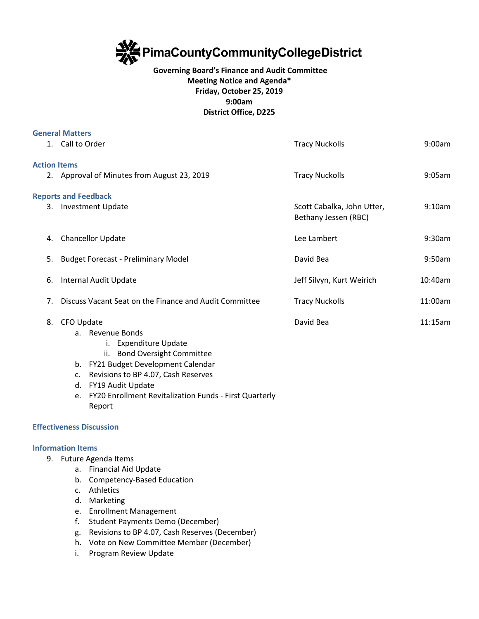

## **Governing Board's Finance and Audit Committee Meeting Notice and Agenda\* Friday, October 25, 2019 9:00am District Office, D225**

|                     | <b>General Matters</b>                                       |                                                    |         |
|---------------------|--------------------------------------------------------------|----------------------------------------------------|---------|
|                     | 1. Call to Order                                             | <b>Tracy Nuckolls</b>                              | 9:00am  |
| <b>Action Items</b> |                                                              |                                                    |         |
|                     | 2. Approval of Minutes from August 23, 2019                  | <b>Tracy Nuckolls</b>                              | 9:05am  |
|                     | <b>Reports and Feedback</b>                                  |                                                    |         |
|                     | 3. Investment Update                                         | Scott Cabalka, John Utter,<br>Bethany Jessen (RBC) | 9:10am  |
| 4.                  | Chancellor Update                                            | Lee Lambert                                        | 9:30am  |
| 5.                  | <b>Budget Forecast - Preliminary Model</b>                   | David Bea                                          | 9:50am  |
| 6.                  | Internal Audit Update                                        | Jeff Silvyn, Kurt Weirich                          | 10:40am |
| 7.                  | Discuss Vacant Seat on the Finance and Audit Committee       | <b>Tracy Nuckolls</b>                              | 11:00am |
| 8.                  | CFO Update                                                   | David Bea                                          | 11:15am |
|                     | a. Revenue Bonds                                             |                                                    |         |
|                     | i. Expenditure Update<br>ii. Bond Oversight Committee        |                                                    |         |
|                     | FY21 Budget Development Calendar<br>b.                       |                                                    |         |
|                     | Revisions to BP 4.07, Cash Reserves<br>c.                    |                                                    |         |
|                     | FY19 Audit Update<br>d.                                      |                                                    |         |
|                     | FY20 Enrollment Revitalization Funds - First Quarterly<br>e. |                                                    |         |

**Effectiveness Discussion**

## **Information Items**

9. Future Agenda Items

Report

- a. Financial Aid Update
- b. Competency-Based Education
- c. Athletics
- d. Marketing
- e. Enrollment Management
- f. Student Payments Demo (December)
- g. Revisions to BP 4.07, Cash Reserves (December)
- h. Vote on New Committee Member (December)
- i. Program Review Update